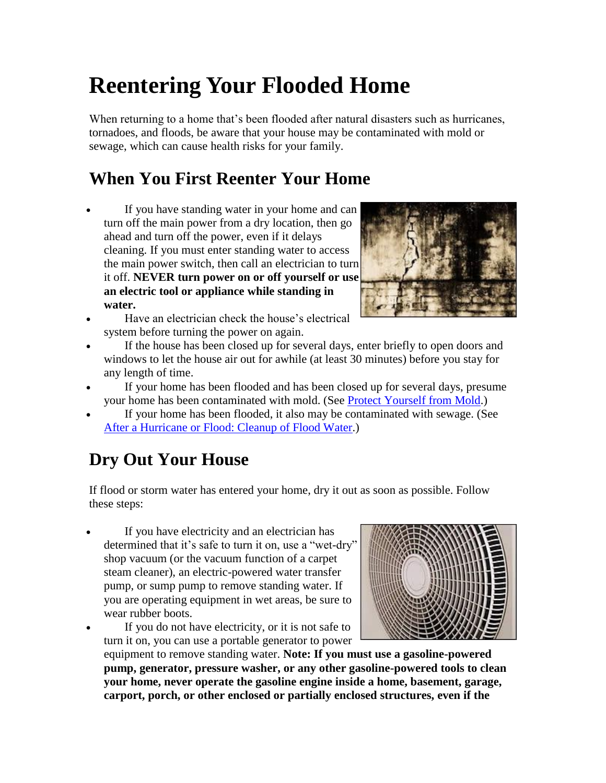## **Reentering Your Flooded Home**

When returning to a home that's been flooded after natural disasters such as hurricanes, tornadoes, and floods, be aware that your house may be contaminated with mold or sewage, which can cause health risks for your family.

## **When You First Reenter Your Home**

 If you have standing water in your home and can turn off the main power from a dry location, then go ahead and turn off the power, even if it delays cleaning. If you must enter standing water to access the main power switch, then call an electrician to turn it off. **NEVER turn power on or off yourself or use an electric tool or appliance while standing in water.**



- Have an electrician check the house's electrical system before turning the power on again.
- If the house has been closed up for several days, enter briefly to open doors and windows to let the house air out for awhile (at least 30 minutes) before you stay for any length of time.
- If your home has been flooded and has been closed up for several days, presume your home has been contaminated with mold. (See [Protect Yourself from Mold.](http://www.bt.cdc.gov/disasters/mold/protect.asp))
- If your home has been flooded, it also may be contaminated with sewage. (See [After a Hurricane or Flood: Cleanup of Flood Water.](http://www.bt.cdc.gov/disasters/floods/cleanupwater.asp))

## **Dry Out Your House**

If flood or storm water has entered your home, dry it out as soon as possible. Follow these steps:

 If you have electricity and an electrician has determined that it's safe to turn it on, use a "wet-dry" shop vacuum (or the vacuum function of a carpet steam cleaner), an electric-powered water transfer pump, or sump pump to remove standing water. If you are operating equipment in wet areas, be sure to wear rubber boots.





equipment to remove standing water. **Note: If you must use a gasoline-powered pump, generator, pressure washer, or any other gasoline-powered tools to clean your home, never operate the gasoline engine inside a home, basement, garage, carport, porch, or other enclosed or partially enclosed structures, even if the**